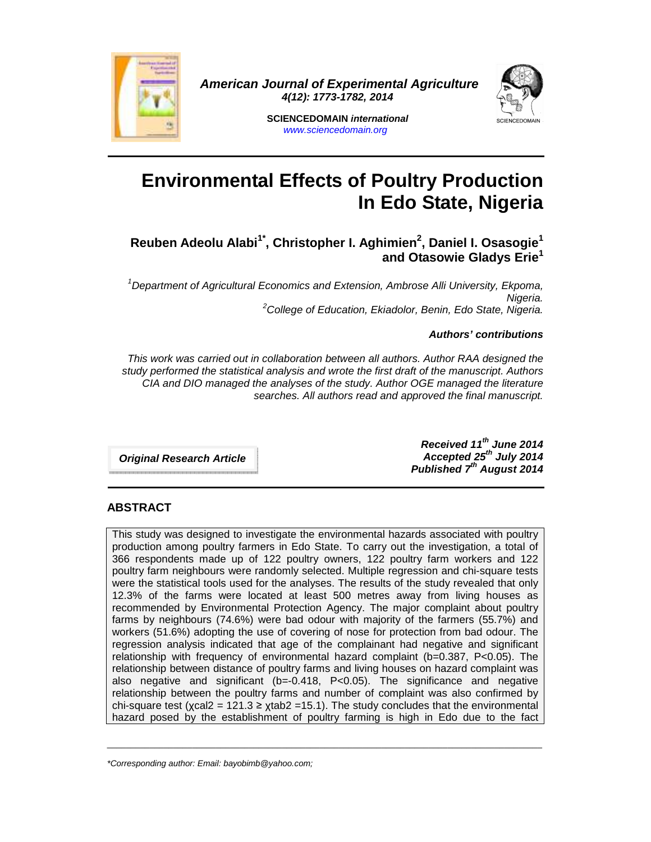

 **American Journal of Experimental Agriculture 4(12): 1773-1782, 2014** 



**SCIENCEDOMAIN international**  www.sciencedomain.org

# **Environmental Effects of Poultry Production In Edo State, Nigeria**

## **Reuben Adeolu Alabi1\*, Christopher I. Aghimien<sup>2</sup> , Daniel I. Osasogie<sup>1</sup> and Otasowie Gladys Erie<sup>1</sup>**

<sup>1</sup>Department of Agricultural Economics and Extension, Ambrose Alli University, Ekpoma, Nigeria.  $2$ College of Education, Ekiadolor, Benin, Edo State, Nigeria.

#### **Authors' contributions**

This work was carried out in collaboration between all authors. Author RAA designed the study performed the statistical analysis and wrote the first draft of the manuscript. Authors CIA and DIO managed the analyses of the study. Author OGE managed the literature searches. All authors read and approved the final manuscript.

**Original Research Article** 

**Received 11th June 2014 Accepted 25th July 2014 Published 7th August 2014**

### **ABSTRACT**

This study was designed to investigate the environmental hazards associated with poultry production among poultry farmers in Edo State. To carry out the investigation, a total of 366 respondents made up of 122 poultry owners, 122 poultry farm workers and 122 poultry farm neighbours were randomly selected. Multiple regression and chi-square tests were the statistical tools used for the analyses. The results of the study revealed that only 12.3% of the farms were located at least 500 metres away from living houses as recommended by Environmental Protection Agency. The major complaint about poultry farms by neighbours (74.6%) were bad odour with majority of the farmers (55.7%) and workers (51.6%) adopting the use of covering of nose for protection from bad odour. The regression analysis indicated that age of the complainant had negative and significant relationship with frequency of environmental hazard complaint ( $b=0.387$ ,  $P<0.05$ ). The relationship between distance of poultry farms and living houses on hazard complaint was also negative and significant ( $b=-0.418$ ,  $P<0.05$ ). The significance and negative relationship between the poultry farms and number of complaint was also confirmed by chi-square test ( $\chi$ cal2 = 121.3  $\geq \chi$ tab2 = 15.1). The study concludes that the environmental hazard posed by the establishment of poultry farming is high in Edo due to the fact

 $\_$  , and the set of the set of the set of the set of the set of the set of the set of the set of the set of the set of the set of the set of the set of the set of the set of the set of the set of the set of the set of th

<sup>\*</sup>Corresponding author: Email: bayobimb@yahoo.com;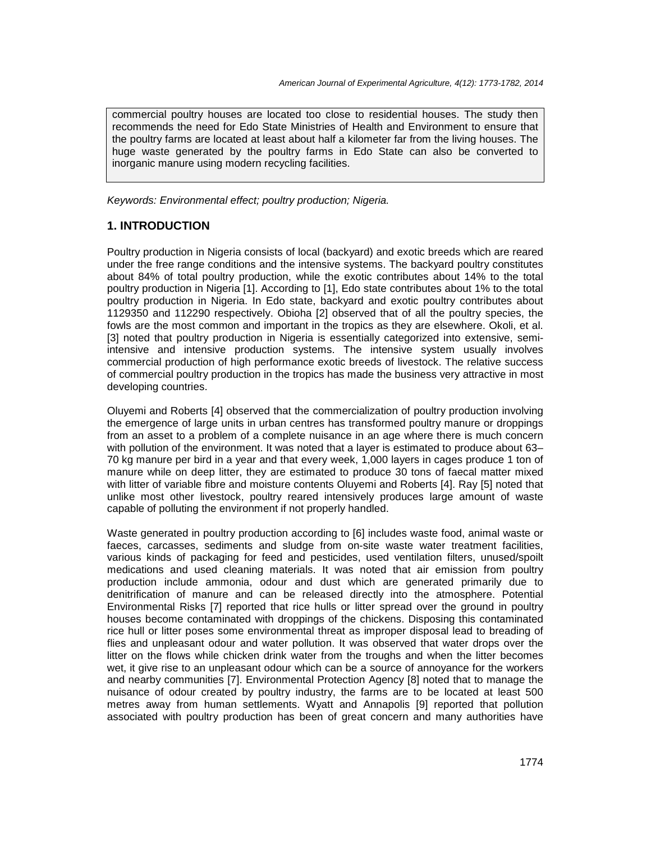commercial poultry houses are located too close to residential houses. The study then recommends the need for Edo State Ministries of Health and Environment to ensure that the poultry farms are located at least about half a kilometer far from the living houses. The huge waste generated by the poultry farms in Edo State can also be converted to inorganic manure using modern recycling facilities.

Keywords: Environmental effect; poultry production; Nigeria.

## **1. INTRODUCTION**

Poultry production in Nigeria consists of local (backyard) and exotic breeds which are reared under the free range conditions and the intensive systems. The backyard poultry constitutes about 84% of total poultry production, while the exotic contributes about 14% to the total poultry production in Nigeria [1]. According to [1], Edo state contributes about 1% to the total poultry production in Nigeria. In Edo state, backyard and exotic poultry contributes about 1129350 and 112290 respectively. Obioha [2] observed that of all the poultry species, the fowls are the most common and important in the tropics as they are elsewhere. Okoli, et al. [3] noted that poultry production in Nigeria is essentially categorized into extensive, semiintensive and intensive production systems. The intensive system usually involves commercial production of high performance exotic breeds of livestock. The relative success of commercial poultry production in the tropics has made the business very attractive in most developing countries.

Oluyemi and Roberts [4] observed that the commercialization of poultry production involving the emergence of large units in urban centres has transformed poultry manure or droppings from an asset to a problem of a complete nuisance in an age where there is much concern with pollution of the environment. It was noted that a layer is estimated to produce about 63– 70 kg manure per bird in a year and that every week, 1,000 layers in cages produce 1 ton of manure while on deep litter, they are estimated to produce 30 tons of faecal matter mixed with litter of variable fibre and moisture contents Oluyemi and Roberts [4]. Ray [5] noted that unlike most other livestock, poultry reared intensively produces large amount of waste capable of polluting the environment if not properly handled.

Waste generated in poultry production according to [6] includes waste food, animal waste or faeces, carcasses, sediments and sludge from on-site waste water treatment facilities, various kinds of packaging for feed and pesticides, used ventilation filters, unused/spoilt medications and used cleaning materials. It was noted that air emission from poultry production include ammonia, odour and dust which are generated primarily due to denitrification of manure and can be released directly into the atmosphere. Potential Environmental Risks [7] reported that rice hulls or litter spread over the ground in poultry houses become contaminated with droppings of the chickens. Disposing this contaminated rice hull or litter poses some environmental threat as improper disposal lead to breading of flies and unpleasant odour and water pollution. It was observed that water drops over the litter on the flows while chicken drink water from the troughs and when the litter becomes wet, it give rise to an unpleasant odour which can be a source of annoyance for the workers and nearby communities [7]. Environmental Protection Agency [8] noted that to manage the nuisance of odour created by poultry industry, the farms are to be located at least 500 metres away from human settlements. Wyatt and Annapolis [9] reported that pollution associated with poultry production has been of great concern and many authorities have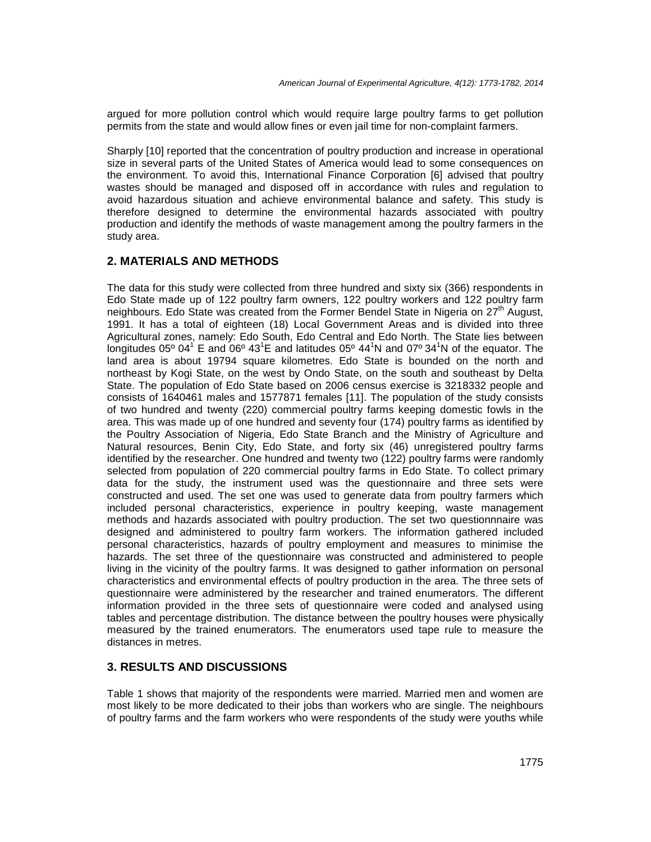argued for more pollution control which would require large poultry farms to get pollution permits from the state and would allow fines or even jail time for non-complaint farmers.

Sharply [10] reported that the concentration of poultry production and increase in operational size in several parts of the United States of America would lead to some consequences on the environment. To avoid this, International Finance Corporation [6] advised that poultry wastes should be managed and disposed off in accordance with rules and regulation to avoid hazardous situation and achieve environmental balance and safety. This study is therefore designed to determine the environmental hazards associated with poultry production and identify the methods of waste management among the poultry farmers in the study area.

## **2. MATERIALS AND METHODS**

The data for this study were collected from three hundred and sixty six (366) respondents in Edo State made up of 122 poultry farm owners, 122 poultry workers and 122 poultry farm neighbours. Edo State was created from the Former Bendel State in Nigeria on  $27<sup>th</sup>$  August, 1991. It has a total of eighteen (18) Local Government Areas and is divided into three Agricultural zones, namely: Edo South, Edo Central and Edo North. The State lies between longitudes 05° 04<sup>1</sup> E and 06° 43<sup>1</sup>E and latitudes 05° 44<sup>1</sup>N and 07° 34<sup>1</sup>N of the equator. The land area is about 19794 square kilometres. Edo State is bounded on the north and northeast by Kogi State, on the west by Ondo State, on the south and southeast by Delta State. The population of Edo State based on 2006 census exercise is 3218332 people and consists of 1640461 males and 1577871 females [11]. The population of the study consists of two hundred and twenty (220) commercial poultry farms keeping domestic fowls in the area. This was made up of one hundred and seventy four (174) poultry farms as identified by the Poultry Association of Nigeria, Edo State Branch and the Ministry of Agriculture and Natural resources, Benin City, Edo State, and forty six (46) unregistered poultry farms identified by the researcher. One hundred and twenty two (122) poultry farms were randomly selected from population of 220 commercial poultry farms in Edo State. To collect primary data for the study, the instrument used was the questionnaire and three sets were constructed and used. The set one was used to generate data from poultry farmers which included personal characteristics, experience in poultry keeping, waste management methods and hazards associated with poultry production. The set two questionnnaire was designed and administered to poultry farm workers. The information gathered included personal characteristics, hazards of poultry employment and measures to minimise the hazards. The set three of the questionnaire was constructed and administered to people living in the vicinity of the poultry farms. It was designed to gather information on personal characteristics and environmental effects of poultry production in the area. The three sets of questionnaire were administered by the researcher and trained enumerators. The different information provided in the three sets of questionnaire were coded and analysed using tables and percentage distribution. The distance between the poultry houses were physically measured by the trained enumerators. The enumerators used tape rule to measure the distances in metres.

## **3. RESULTS AND DISCUSSIONS**

Table 1 shows that majority of the respondents were married. Married men and women are most likely to be more dedicated to their jobs than workers who are single. The neighbours of poultry farms and the farm workers who were respondents of the study were youths while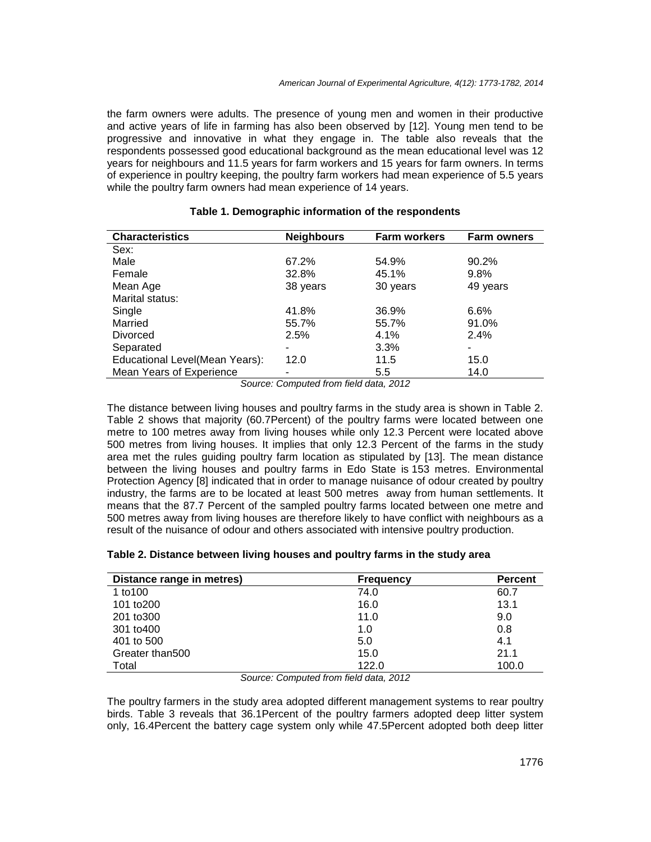the farm owners were adults. The presence of young men and women in their productive and active years of life in farming has also been observed by [12]. Young men tend to be progressive and innovative in what they engage in. The table also reveals that the respondents possessed good educational background as the mean educational level was 12 years for neighbours and 11.5 years for farm workers and 15 years for farm owners. In terms of experience in poultry keeping, the poultry farm workers had mean experience of 5.5 years while the poultry farm owners had mean experience of 14 years.

| <b>Characteristics</b>         | <b>Neighbours</b> | <b>Farm workers</b> | <b>Farm owners</b> |
|--------------------------------|-------------------|---------------------|--------------------|
| Sex:                           |                   |                     |                    |
| Male                           | 67.2%             | 54.9%               | 90.2%              |
| Female                         | 32.8%             | 45.1%               | 9.8%               |
| Mean Age                       | 38 years          | 30 years            | 49 years           |
| Marital status:                |                   |                     |                    |
| Single                         | 41.8%             | 36.9%               | 6.6%               |
| Married                        | 55.7%             | 55.7%               | 91.0%              |
| <b>Divorced</b>                | 2.5%              | 4.1%                | 2.4%               |
| Separated                      |                   | 3.3%                | ۰                  |
| Educational Level(Mean Years): | 12.0              | 11.5                | 15.0               |
| Mean Years of Experience       |                   | $5.5\,$             | 14.0               |

#### **Table 1. Demographic information of the respondents**

Source: Computed from field data, 2012

The distance between living houses and poultry farms in the study area is shown in Table 2. Table 2 shows that majority (60.7Percent) of the poultry farms were located between one metre to 100 metres away from living houses while only 12.3 Percent were located above 500 metres from living houses. It implies that only 12.3 Percent of the farms in the study area met the rules guiding poultry farm location as stipulated by [13]. The mean distance between the living houses and poultry farms in Edo State is 153 metres. Environmental Protection Agency [8] indicated that in order to manage nuisance of odour created by poultry industry, the farms are to be located at least 500 metres away from human settlements. It means that the 87.7 Percent of the sampled poultry farms located between one metre and 500 metres away from living houses are therefore likely to have conflict with neighbours as a result of the nuisance of odour and others associated with intensive poultry production.

| Table 2. Distance between living houses and poultry farms in the study area |  |  |  |
|-----------------------------------------------------------------------------|--|--|--|
|-----------------------------------------------------------------------------|--|--|--|

| Distance range in metres) | <b>Frequency</b> | <b>Percent</b> |
|---------------------------|------------------|----------------|
| 1 to 100                  | 74.0             | 60.7           |
| 101 to 200                | 16.0             | 13.1           |
| 201 to 300                | 11.0             | 9.0            |
| 301 to400                 | 1.0              | 0.8            |
| 401 to 500                | 5.0              | 4.1            |
| Greater than500           | 15.0             | 21.1           |
| Total<br>$\sim$<br>$\sim$ | 122.0<br>.<br>.  | 100.0          |

Source: Computed from field data, 2012

The poultry farmers in the study area adopted different management systems to rear poultry birds. Table 3 reveals that 36.1Percent of the poultry farmers adopted deep litter system only, 16.4Percent the battery cage system only while 47.5Percent adopted both deep litter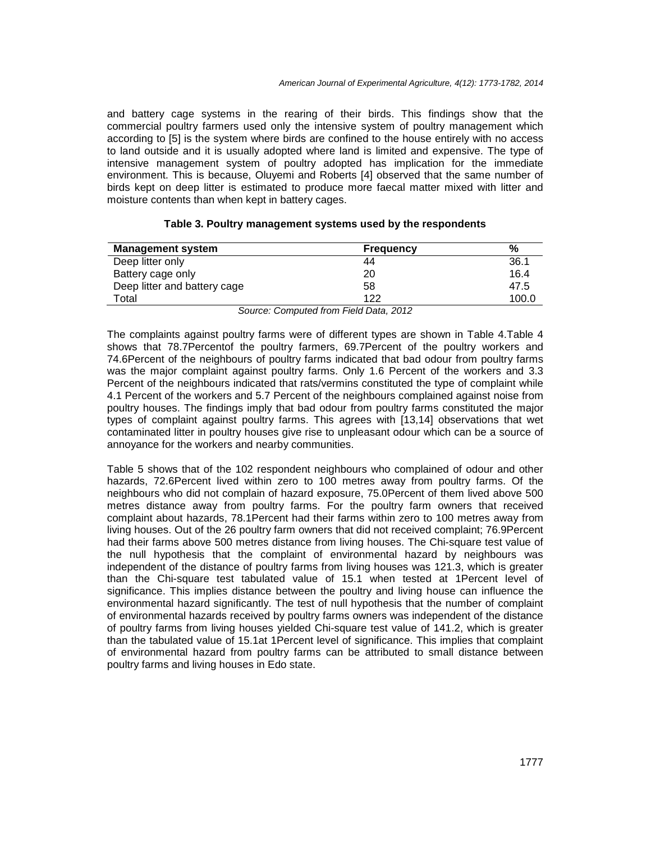and battery cage systems in the rearing of their birds. This findings show that the commercial poultry farmers used only the intensive system of poultry management which according to [5] is the system where birds are confined to the house entirely with no access to land outside and it is usually adopted where land is limited and expensive. The type of intensive management system of poultry adopted has implication for the immediate environment. This is because, Oluyemi and Roberts [4] observed that the same number of birds kept on deep litter is estimated to produce more faecal matter mixed with litter and moisture contents than when kept in battery cages.

| <b>Management system</b>     | <b>Frequency</b> | %     |
|------------------------------|------------------|-------|
| Deep litter only             | 44               | 36.1  |
| Battery cage only            | 20               | 16.4  |
| Deep litter and battery cage | 58               | 47.5  |
| Total                        | 122              | 100.0 |

#### **Table 3. Poultry management systems used by the respondents**

Source: Computed from Field Data, 2012

The complaints against poultry farms were of different types are shown in Table 4.Table 4 shows that 78.7Percentof the poultry farmers, 69.7Percent of the poultry workers and 74.6Percent of the neighbours of poultry farms indicated that bad odour from poultry farms was the major complaint against poultry farms. Only 1.6 Percent of the workers and 3.3 Percent of the neighbours indicated that rats/vermins constituted the type of complaint while 4.1 Percent of the workers and 5.7 Percent of the neighbours complained against noise from poultry houses. The findings imply that bad odour from poultry farms constituted the major types of complaint against poultry farms. This agrees with [13,14] observations that wet contaminated litter in poultry houses give rise to unpleasant odour which can be a source of annoyance for the workers and nearby communities.

Table 5 shows that of the 102 respondent neighbours who complained of odour and other hazards, 72.6Percent lived within zero to 100 metres away from poultry farms. Of the neighbours who did not complain of hazard exposure, 75.0Percent of them lived above 500 metres distance away from poultry farms. For the poultry farm owners that received complaint about hazards, 78.1Percent had their farms within zero to 100 metres away from living houses. Out of the 26 poultry farm owners that did not received complaint; 76.9Percent had their farms above 500 metres distance from living houses. The Chi-square test value of the null hypothesis that the complaint of environmental hazard by neighbours was independent of the distance of poultry farms from living houses was 121.3, which is greater than the Chi-square test tabulated value of 15.1 when tested at 1Percent level of significance. This implies distance between the poultry and living house can influence the environmental hazard significantly. The test of null hypothesis that the number of complaint of environmental hazards received by poultry farms owners was independent of the distance of poultry farms from living houses yielded Chi-square test value of 141.2, which is greater than the tabulated value of 15.1at 1Percent level of significance. This implies that complaint of environmental hazard from poultry farms can be attributed to small distance between poultry farms and living houses in Edo state.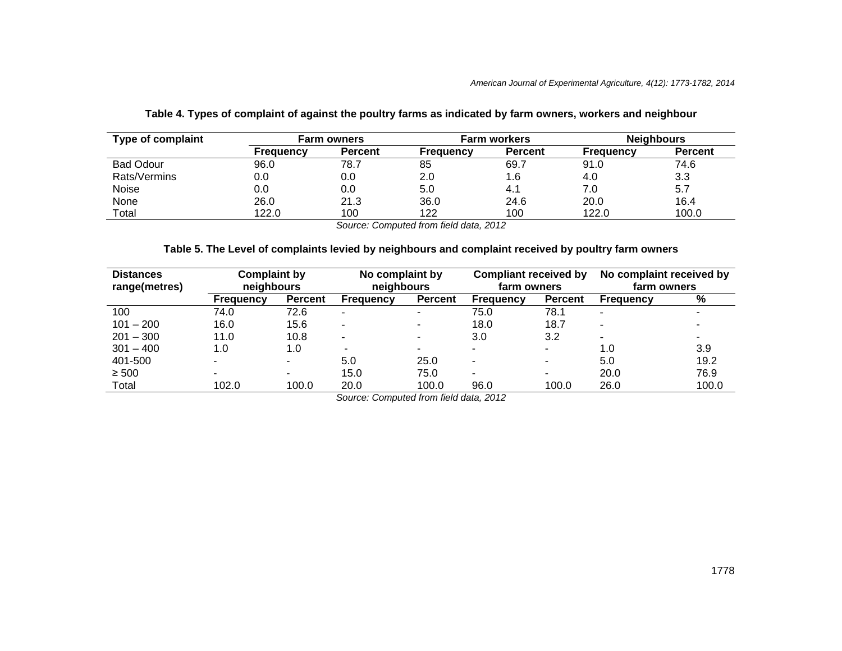| Type of complaint |           | <b>Farm owners</b> | Farm workers     |                | <b>Neighbours</b> |                |
|-------------------|-----------|--------------------|------------------|----------------|-------------------|----------------|
|                   | Frequency | <b>Percent</b>     | <b>Frequency</b> | <b>Percent</b> | Frequency         | <b>Percent</b> |
| <b>Bad Odour</b>  | 96.0      | 78.7               | 85               | 69.7           | 91.0              | 74.6           |
| Rats/Vermins      | 0.0       | 0.0                | 2.0              | 1.6            | 4.0               | 3.3            |
| Noise             | 0.0       | 0.0                | 5.0              | 4.1            | 7.0               | 5.7            |
| None              | 26.0      | 21.3               | 36.0             | 24.6           | 20.0              | 16.4           |
| Total             | 122.0     | 100                | 122              | 100            | 122.0             | 100.0          |

#### **Table 4. Types of complaint of against the poultry farms as indicated by farm owners, workers and neighbour**

Source: Computed from field data, 2012

## **Table 5. The Level of complaints levied by neighbours and complaint received by poultry farm owners**

| <b>Distances</b><br>range(metres) |                  | <b>Complaint by</b><br>No complaint received by<br>No complaint by<br><b>Compliant received by</b><br>neighbours<br>neighbours<br>farm owners<br>farm owners |           |                |                          |                |                          |       |
|-----------------------------------|------------------|--------------------------------------------------------------------------------------------------------------------------------------------------------------|-----------|----------------|--------------------------|----------------|--------------------------|-------|
|                                   | <b>Frequency</b> | <b>Percent</b>                                                                                                                                               | Frequency | <b>Percent</b> | <b>Frequency</b>         | <b>Percent</b> | Frequency                | $\%$  |
| 100                               | 74.0             | 72.6                                                                                                                                                         | -         |                | 75.0                     | 78.1           | $\overline{\phantom{a}}$ |       |
| $101 - 200$                       | 16.0             | 15.6                                                                                                                                                         | -         | -              | 18.0                     | 18.7           | -                        |       |
| $201 - 300$                       | 11.0             | 10.8                                                                                                                                                         |           | -              | 3.0                      | 3.2            |                          |       |
| $301 - 400$                       | 1.0              | 1.0                                                                                                                                                          | ۰         |                | ۰.                       | ۰              | 1.0                      | 3.9   |
| 401-500                           |                  | $\blacksquare$                                                                                                                                               | 5.0       | 25.0           | $\overline{\phantom{0}}$ | -              | 5.0                      | 19.2  |
| $\geq 500$                        |                  | -                                                                                                                                                            | 15.0      | 75.0           | $\overline{\phantom{a}}$ | -              | 20.0                     | 76.9  |
| Total                             | 102.0            | 100.0                                                                                                                                                        | 20.0      | 100.0          | 96.0                     | 100.0          | 26.0                     | 100.0 |

Source: Computed from field data, 2012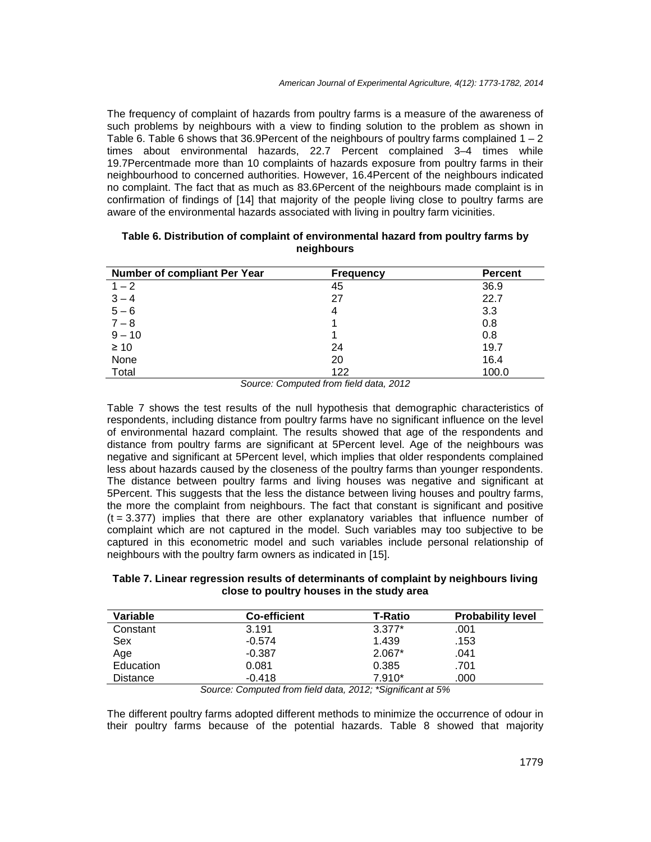The frequency of complaint of hazards from poultry farms is a measure of the awareness of such problems by neighbours with a view to finding solution to the problem as shown in Table 6. Table 6 shows that 36.9Percent of the neighbours of poultry farms complained  $1 - 2$ times about environmental hazards, 22.7 Percent complained 3–4 times while 19.7Percentmade more than 10 complaints of hazards exposure from poultry farms in their neighbourhood to concerned authorities. However, 16.4Percent of the neighbours indicated no complaint. The fact that as much as 83.6Percent of the neighbours made complaint is in confirmation of findings of [14] that majority of the people living close to poultry farms are aware of the environmental hazards associated with living in poultry farm vicinities.

| <b>Number of compliant Per Year</b> | <b>Frequency</b> | <b>Percent</b> |
|-------------------------------------|------------------|----------------|
| $1 - 2$                             | 45               | 36.9           |
| $3 - 4$                             | 27               | 22.7           |
| $5 - 6$                             | 4                | 3.3            |
| $7 - 8$                             |                  | 0.8            |
| $9 - 10$                            |                  | 0.8            |
| $\geq 10$                           | 24               | 19.7           |
| None                                | 20               | 16.4           |
| Total                               | 122              | 100.0          |

#### **Table 6. Distribution of complaint of environmental hazard from poultry farms by neighbours**

Source: Computed from field data, 2012

Table 7 shows the test results of the null hypothesis that demographic characteristics of respondents, including distance from poultry farms have no significant influence on the level of environmental hazard complaint. The results showed that age of the respondents and distance from poultry farms are significant at 5Percent level. Age of the neighbours was negative and significant at 5Percent level, which implies that older respondents complained less about hazards caused by the closeness of the poultry farms than younger respondents. The distance between poultry farms and living houses was negative and significant at 5Percent. This suggests that the less the distance between living houses and poultry farms, the more the complaint from neighbours. The fact that constant is significant and positive  $(t = 3.377)$  implies that there are other explanatory variables that influence number of complaint which are not captured in the model. Such variables may too subjective to be captured in this econometric model and such variables include personal relationship of neighbours with the poultry farm owners as indicated in [15].

#### **Table 7. Linear regression results of determinants of complaint by neighbours living close to poultry houses in the study area**

| Variable        | <b>Co-efficient</b> | T-Ratio  | <b>Probability level</b> |
|-----------------|---------------------|----------|--------------------------|
| Constant        | 3.191               | $3.377*$ | .001                     |
| Sex             | $-0.574$            | 1.439    | .153                     |
| Age             | $-0.387$            | $2.067*$ | .041                     |
| Education       | 0.081               | 0.385    | .701                     |
| <b>Distance</b> | $-0.418$            | $7.910*$ | .000                     |

Source: Computed from field data, 2012; \*Significant at 5%

The different poultry farms adopted different methods to minimize the occurrence of odour in their poultry farms because of the potential hazards. Table 8 showed that majority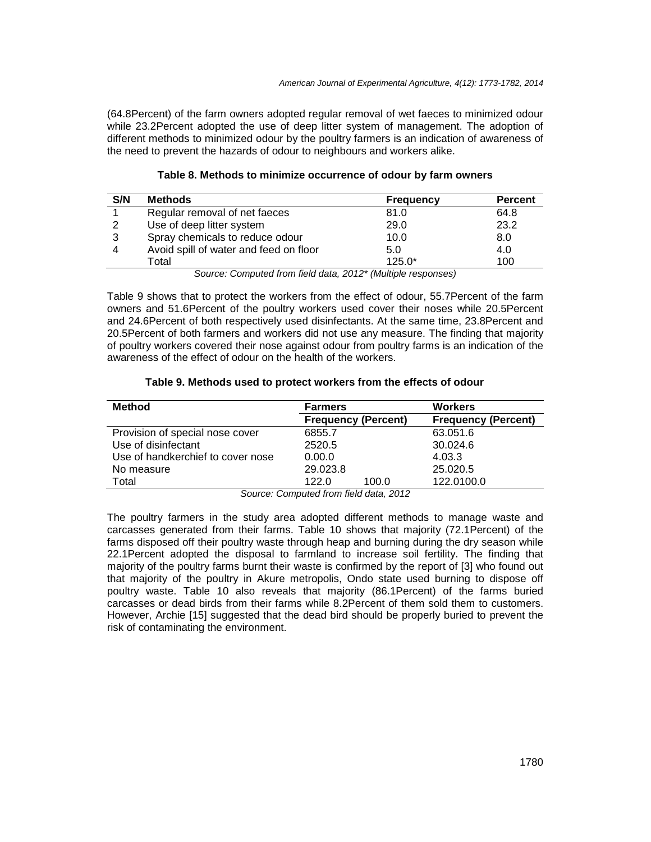(64.8Percent) of the farm owners adopted regular removal of wet faeces to minimized odour while 23.2Percent adopted the use of deep litter system of management. The adoption of different methods to minimized odour by the poultry farmers is an indication of awareness of the need to prevent the hazards of odour to neighbours and workers alike.

| S/N | <b>Methods</b>                                               | <b>Frequency</b> | <b>Percent</b> |
|-----|--------------------------------------------------------------|------------------|----------------|
|     | Regular removal of net faeces                                | 81.0             | 64.8           |
|     | Use of deep litter system                                    | 29.0             | 23.2           |
| 3   | Spray chemicals to reduce odour                              | 10.0             | 8.0            |
| 4   | Avoid spill of water and feed on floor                       | 5.0              | 4.0            |
|     | Total                                                        | $125.0*$         | 100            |
|     | Course Committed from field date, 0040* (Multiple responses) |                  |                |

### **Table 8. Methods to minimize occurrence of odour by farm owners**

Source: Computed from field data, 2012\* (Multiple responses)

Table 9 shows that to protect the workers from the effect of odour, 55.7Percent of the farm owners and 51.6Percent of the poultry workers used cover their noses while 20.5Percent and 24.6Percent of both respectively used disinfectants. At the same time, 23.8Percent and 20.5Percent of both farmers and workers did not use any measure. The finding that majority of poultry workers covered their nose against odour from poultry farms is an indication of the awareness of the effect of odour on the health of the workers.

#### **Table 9. Methods used to protect workers from the effects of odour**

| <b>Method</b>                     | <b>Farmers</b>             | <b>Workers</b>             |  |
|-----------------------------------|----------------------------|----------------------------|--|
|                                   | <b>Frequency (Percent)</b> | <b>Frequency (Percent)</b> |  |
| Provision of special nose cover   | 6855.7                     | 63.051.6                   |  |
| Use of disinfectant               | 2520.5                     | 30.024.6                   |  |
| Use of handkerchief to cover nose | 0.00.0                     | 4.03.3                     |  |
| No measure                        | 29.023.8                   | 25.020.5                   |  |
| Total                             | 100.0<br>122.0             | 122.0100.0                 |  |

Source: Computed from field data, 2012

The poultry farmers in the study area adopted different methods to manage waste and carcasses generated from their farms. Table 10 shows that majority (72.1Percent) of the farms disposed off their poultry waste through heap and burning during the dry season while 22.1Percent adopted the disposal to farmland to increase soil fertility. The finding that majority of the poultry farms burnt their waste is confirmed by the report of [3] who found out that majority of the poultry in Akure metropolis, Ondo state used burning to dispose off poultry waste. Table 10 also reveals that majority (86.1Percent) of the farms buried carcasses or dead birds from their farms while 8.2Percent of them sold them to customers. However, Archie [15] suggested that the dead bird should be properly buried to prevent the risk of contaminating the environment.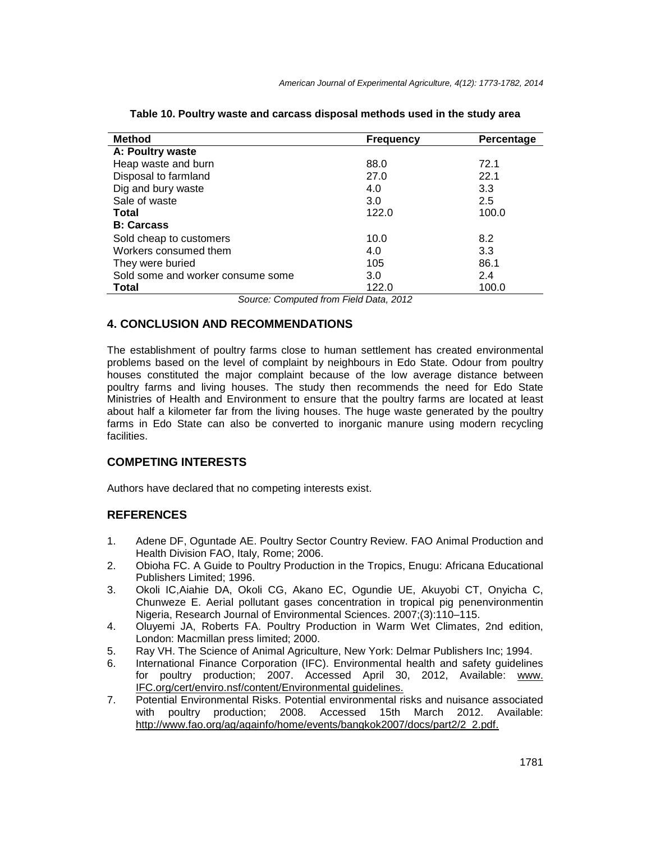| <b>Method</b>                     | <b>Frequency</b> | Percentage |
|-----------------------------------|------------------|------------|
| A: Poultry waste                  |                  |            |
| Heap waste and burn               | 88.0             | 72.1       |
| Disposal to farmland              | 27.0             | 22.1       |
| Dig and bury waste                | 4.0              | 3.3        |
| Sale of waste                     | 3.0              | 2.5        |
| <b>Total</b>                      | 122.0            | 100.0      |
| <b>B: Carcass</b>                 |                  |            |
| Sold cheap to customers           | 10.0             | 8.2        |
| Workers consumed them             | 4.0              | 3.3        |
| They were buried                  | 105              | 86.1       |
| Sold some and worker consume some | 3.0              | 2.4        |
| <b>Total</b>                      | 122.0            | 100.0      |

**Table 10. Poultry waste and carcass disposal methods used in the study area** 

Source: Computed from Field Data, 2012

## **4. CONCLUSION AND RECOMMENDATIONS**

The establishment of poultry farms close to human settlement has created environmental problems based on the level of complaint by neighbours in Edo State. Odour from poultry houses constituted the major complaint because of the low average distance between poultry farms and living houses. The study then recommends the need for Edo State Ministries of Health and Environment to ensure that the poultry farms are located at least about half a kilometer far from the living houses. The huge waste generated by the poultry farms in Edo State can also be converted to inorganic manure using modern recycling facilities.

## **COMPETING INTERESTS**

Authors have declared that no competing interests exist.

## **REFERENCES**

- 1. Adene DF, Oguntade AE. Poultry Sector Country Review. FAO Animal Production and Health Division FAO, Italy, Rome; 2006.
- 2. Obioha FC. A Guide to Poultry Production in the Tropics, Enugu: Africana Educational Publishers Limited; 1996.
- 3. Okoli IC,Aiahie DA, Okoli CG, Akano EC, Ogundie UE, Akuyobi CT, Onyicha C, Chunweze E. Aerial pollutant gases concentration in tropical pig penenvironmentin Nigeria, Research Journal of Environmental Sciences. 2007;(3):110–115.
- 4. Oluyemi JA, Roberts FA. Poultry Production in Warm Wet Climates, 2nd edition, London: Macmillan press limited; 2000.
- 5. Ray VH. The Science of Animal Agriculture, New York: Delmar Publishers Inc; 1994.
- 6. International Finance Corporation (IFC). Environmental health and safety guidelines for poultry production; 2007. Accessed April 30, 2012, Available: www. IFC.org/cert/enviro.nsf/content/Environmental guidelines.
- 7. Potential Environmental Risks. Potential environmental risks and nuisance associated with poultry production; 2008. Accessed 15th March 2012. Available: http://www.fao.org/ag/againfo/home/events/bangkok2007/docs/part2/2\_2.pdf.